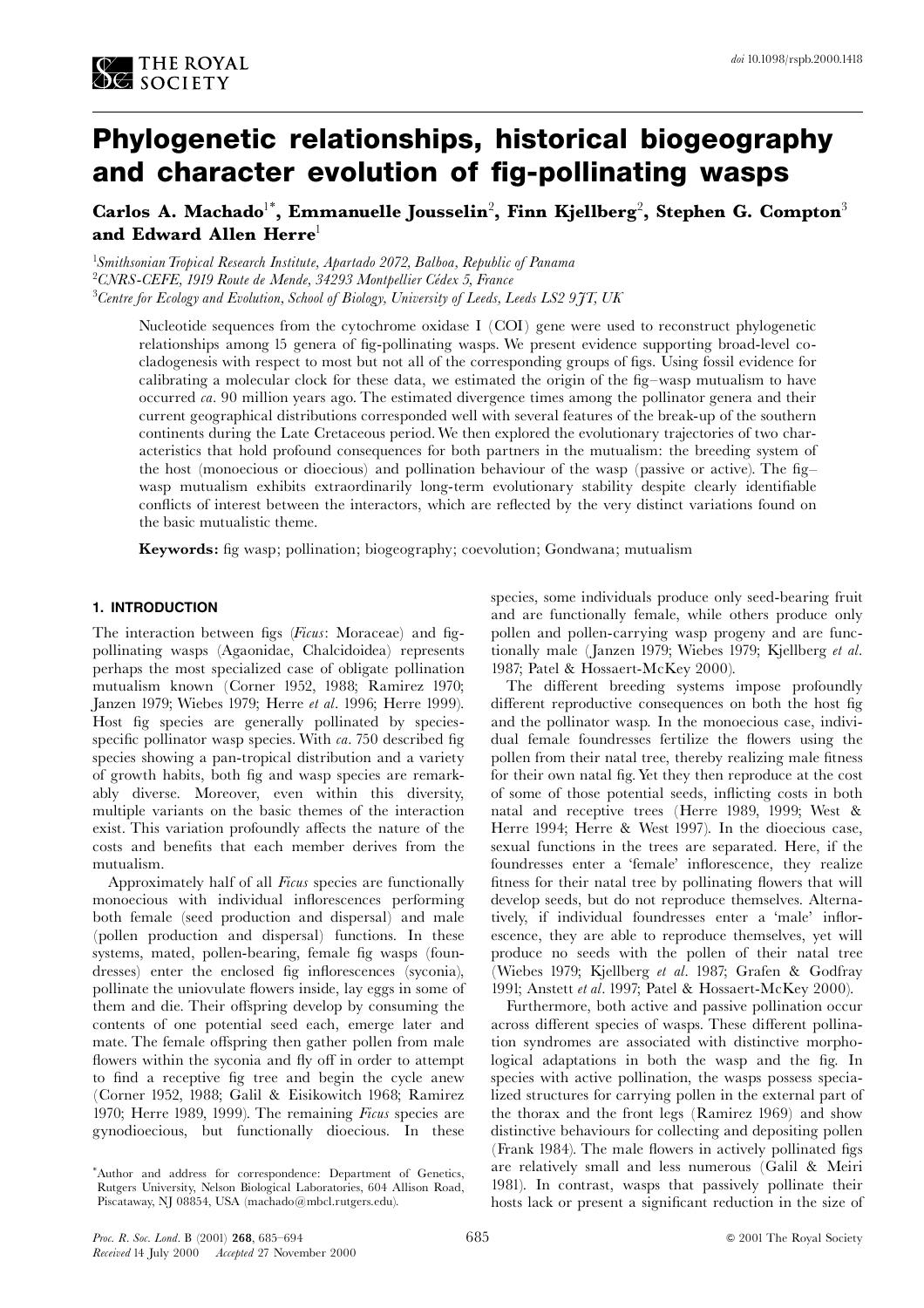

# Phylogenetic relationships, historical biogeography and character evolution of fig-pollinating wasps

Carlos A. Machado<sup>1\*</sup>, Emmanuelle Jousselin<sup>2</sup>, Finn Kjellberg<sup>2</sup>, Stephen G. Compton<sup>3</sup> and Edward Allen Herre<sup>1</sup>

<sup>1</sup>Smithsonian Tropical Research Institute, Apartado 2072, Balboa, Republic of Panama <sup>2</sup>CNRS-CEFE, 1919 Route de Mende, 34293 Montpellier Cédex 5, France <sup>3</sup>Centre for Ecology and Evolution, School of Biology, University of Leeds, Leeds LS2 9JT, UK

Nucleotide sequences from the cytochrome oxidase I (COI) gene were used to reconstruct phylogenetic relationships among 15 genera of fig-pollinating wasps. We present evidence supporting broad-level cocladogenesis with respect to most but not all of the corresponding groups of figs. Using fossil evidence for calibrating a molecular clock for these data, we estimated the origin of the fig-wasp mutualism to have occurred ca. 90 million years ago. The estimated divergence times among the pollinator genera and their current geographical distributions corresponded well with several features of the break-up of the southern continents during the Late Cretaceous period. We then explored the evolutionary trajectories of two characteristics that hold profound consequences for both partners in the mutualism: the breeding system of the host (monoecious or dioecious) and pollination behaviour of the wasp (passive or active). The figwasp mutualism exhibits extraordinarily long-term evolutionary stability despite clearly identifiable conflicts of interest between the interactors, which are reflected by the very distinct variations found on the basic mutualistic theme.

**Keywords:** fig wasp; pollination; biogeography; coevolution; Gondwana; mutualism

# 1. INTRODUCTION

The interaction between figs (Ficus: Moraceae) and figpollinating wasps (Agaonidae, Chalcidoidea) represents perhaps the most specialized case of obligate pollination mutualism known (Corner 1952, 1988; Ramirez 1970; Janzen 1979; Wiebes 1979; Herre et al. 1996; Herre 1999). Host fig species are generally pollinated by speciesspecific pollinator wasp species. With ca. 750 described fig species showing a pan-tropical distribution and a variety of growth habits, both fig and wasp species are remarkably diverse. Moreover, even within this diversity, multiple variants on the basic themes of the interaction exist. This variation profoundly affects the nature of the costs and benefits that each member derives from the mutualism

Approximately half of all Ficus species are functionally monoecious with individual inflorescences performing both female (seed production and dispersal) and male (pollen production and dispersal) functions. In these systems, mated, pollen-bearing, female fig wasps (foundresses) enter the enclosed fig inflorescences (syconia), pollinate the uniovulate flowers inside, lay eggs in some of them and die. Their offspring develop by consuming the contents of one potential seed each, emerge later and mate. The female offspring then gather pollen from male flowers within the syconia and fly off in order to attempt to find a receptive fig tree and begin the cycle anew (Corner 1952, 1988; Galil & Eisikowitch 1968; Ramirez 1970; Herre 1989, 1999). The remaining Ficus species are gynodioecious, but functionally dioecious. In these

species, some individuals produce only seed-bearing fruit and are functionally female, while others produce only pollen and pollen-carrying wasp progeny and are functionally male (Janzen 1979; Wiebes 1979; Kjellberg et al. 1987; Patel & Hossaert-McKey 2000).

The different breeding systems impose profoundly different reproductive consequences on both the host fig and the pollinator wasp. In the monoecious case, individual female foundresses fertilize the flowers using the pollen from their natal tree, thereby realizing male fitness for their own natal fig. Yet they then reproduce at the cost of some of those potential seeds, inflicting costs in both natal and receptive trees (Herre 1989, 1999; West & Herre 1994; Herre & West 1997). In the dioecious case, sexual functions in the trees are separated. Here, if the foundresses enter a 'female' inflorescence, they realize fitness for their natal tree by pollinating flowers that will develop seeds, but do not reproduce themselves. Alternatively, if individual foundresses enter a 'male' inflorescence, they are able to reproduce themselves, yet will produce no seeds with the pollen of their natal tree (Wiebes 1979; Kjellberg et al. 1987; Grafen & Godfray 1991; Anstett et al. 1997; Patel & Hossaert-McKey 2000).

Furthermore, both active and passive pollination occur across different species of wasps. These different pollination syndromes are associated with distinctive morphological adaptations in both the wasp and the fig. In species with active pollination, the wasps possess specialized structures for carrying pollen in the external part of the thorax and the front legs (Ramirez 1969) and show distinctive behaviours for collecting and depositing pollen (Frank 1984). The male flowers in actively pollinated figs are relatively small and less numerous (Galil & Meiri 1981). In contrast, wasps that passively pollinate their hosts lack or present a significant reduction in the size of

<sup>\*</sup>Author and address for correspondence: Department of Genetics, Rutgers University, Nelson Biological Laboratories, 604 Allison Road, Piscataway, NJ 08854, USA (machado@mbcl.rutgers.edu).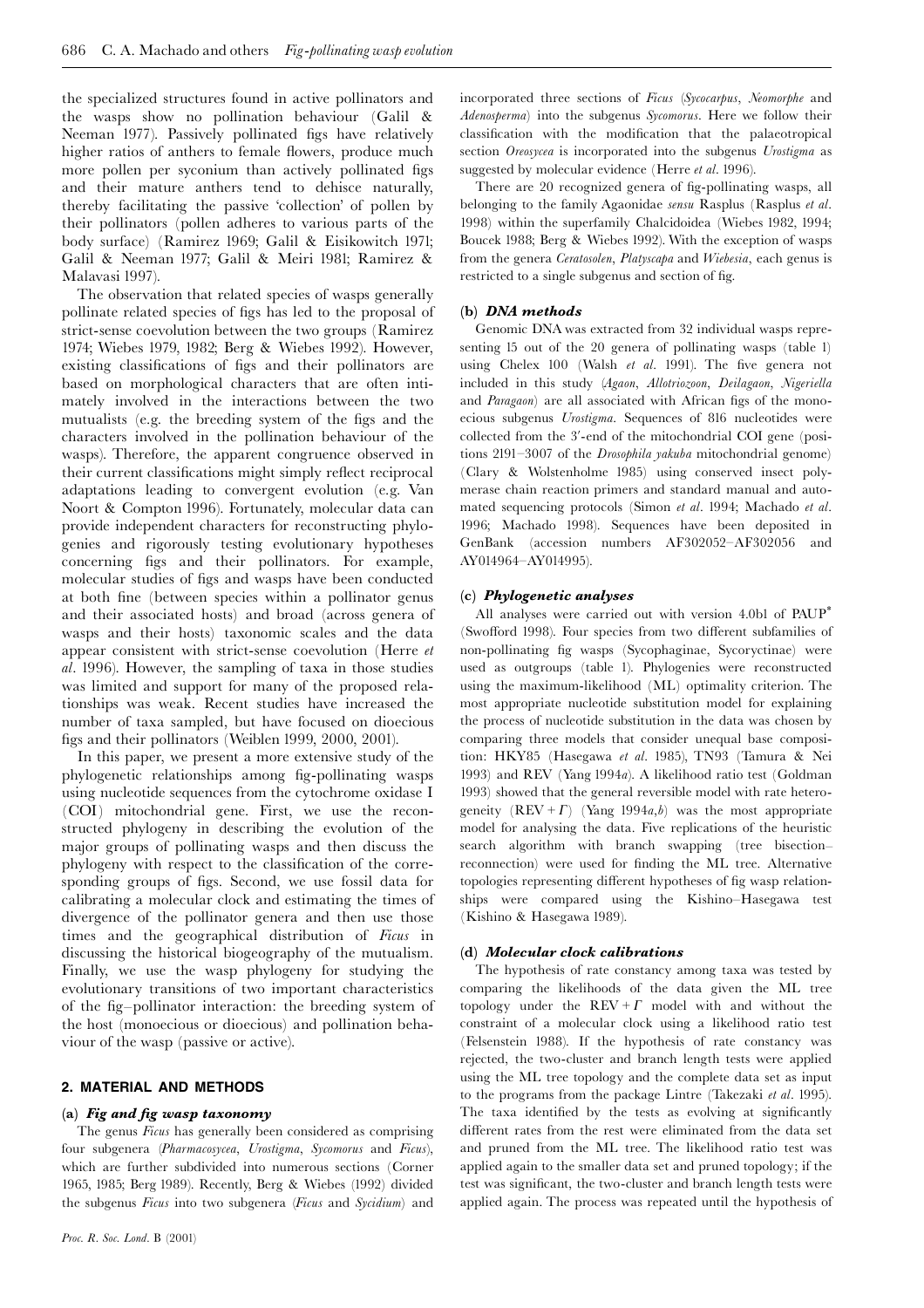the specialized structures found in active pollinators and the wasps show no pollination behaviour (Galil & Neeman 1977). Passively pollinated figs have relatively higher ratios of anthers to female flowers, produce much more pollen per syconium than actively pollinated figs and their mature anthers tend to dehisce naturally. thereby facilitating the passive 'collection' of pollen by their pollinators (pollen adheres to various parts of the body surface) (Ramirez 1969; Galil & Eisikowitch 1971; Galil & Neeman 1977; Galil & Meiri 1981; Ramirez & Malavasi 1997).

The observation that related species of wasps generally pollinate related species of figs has led to the proposal of strict-sense coevolution between the two groups (Ramirez 1974; Wiebes 1979, 1982; Berg & Wiebes 1992). However, existing classifications of figs and their pollinators are based on morphological characters that are often intimately involved in the interactions between the two mutualists (e.g. the breeding system of the figs and the characters involved in the pollination behaviour of the wasps). Therefore, the apparent congruence observed in their current classifications might simply reflect reciprocal adaptations leading to convergent evolution (e.g. Van Noort & Compton 1996). Fortunately, molecular data can provide independent characters for reconstructing phylogenies and rigorously testing evolutionary hypotheses concerning figs and their pollinators. For example, molecular studies of figs and wasps have been conducted at both fine (between species within a pollinator genus and their associated hosts) and broad (across genera of wasps and their hosts) taxonomic scales and the data appear consistent with strict-sense coevolution (Herre et al. 1996). However, the sampling of taxa in those studies was limited and support for many of the proposed relationships was weak. Recent studies have increased the number of taxa sampled, but have focused on dioecious figs and their pollinators (Weiblen 1999, 2000, 2001).

In this paper, we present a more extensive study of the phylogenetic relationships among fig-pollinating wasps using nucleotide sequences from the cytochrome oxidase I (COI) mitochondrial gene. First, we use the reconstructed phylogeny in describing the evolution of the major groups of pollinating wasps and then discuss the phylogeny with respect to the classification of the corresponding groups of figs. Second, we use fossil data for calibrating a molecular clock and estimating the times of divergence of the pollinator genera and then use those times and the geographical distribution of Ficus in discussing the historical biogeography of the mutualism. Finally, we use the wasp phylogeny for studying the evolutionary transitions of two important characteristics of the fig-pollinator interaction: the breeding system of the host (monoecious or dioecious) and pollination behaviour of the wasp (passive or active).

## 2. MATERIAL AND METHODS

## (a) Fig and fig wasp taxonomy

The genus Ficus has generally been considered as comprising four subgenera (Pharmacosycea, Urostigma, Sycomorus and Ficus), which are further subdivided into numerous sections (Corner 1965, 1985; Berg 1989). Recently, Berg & Wiebes (1992) divided the subgenus Ficus into two subgenera (Ficus and Sycidium) and incorporated three sections of Ficus (Sycocarpus, Neomorphe and Adenosperma) into the subgenus Sycomorus. Here we follow their classification with the modification that the palaeotropical section Oreosycea is incorporated into the subgenus Urostigma as suggested by molecular evidence (Herre et al. 1996).

There are 20 recognized genera of fig-pollinating wasps, all belonging to the family Agaonidae sensu Rasplus (Rasplus et al. 1998) within the superfamily Chalcidoidea (Wiebes 1982, 1994; Boucek 1988; Berg & Wiebes 1992). With the exception of wasps from the genera Ceratosolen, Platyscapa and Wiebesia, each genus is restricted to a single subgenus and section of fig.

## (b) DNA methods

Genomic DNA was extracted from 32 individual wasps representing 15 out of the 20 genera of pollinating wasps (table 1) using Chelex 100 (Walsh et al. 1991). The five genera not included in this study (Agaon, Allotriozoon, Deilagaon, Nigeriella and Paragaon) are all associated with African figs of the monoecious subgenus *Urostigma*. Sequences of 816 nucleotides were collected from the 3'-end of the mitochondrial COI gene (positions  $2191-3007$  of the *Drosophila vakuba* mitochondrial genome) (Clary & Wolstenholme 1985) using conserved insect polymerase chain reaction primers and standard manual and automated sequencing protocols (Simon et al. 1994; Machado et al. 1996; Machado 1998). Sequences have been deposited in GenBank (accession numbers AF302052-AF302056 and AY014964-AY014995).

## (c) Phylogenetic analyses

All analyses were carried out with version 4.0bl of PAUP<sup>\*</sup> (Swofford 1998). Four species from two different subfamilies of non-pollinating fig wasps (Sycophaginae, Sycoryctinae) were used as outgroups (table 1). Phylogenies were reconstructed using the maximum-likelihood (ML) optimality criterion. The most appropriate nucleotide substitution model for explaining the process of nucleotide substitution in the data was chosen by comparing three models that consider unequal base composition: HKY85 (Hasegawa et al. 1985), TN93 (Tamura & Nei 1993) and REV (Yang 1994a). A likelihood ratio test (Goldman 1993) showed that the general reversible model with rate heterogeneity  $(REV + \Gamma)$  (Yang 1994*a,b*) was the most appropriate model for analysing the data. Five replications of the heuristic search algorithm with branch swapping (tree bisectionreconnection) were used for finding the ML tree. Alternative topologies representing different hypotheses of fig wasp relationships were compared using the Kishino-Hasegawa test (Kishino & Hasegawa 1989).

## (d) Molecular clock calibrations

The hypothesis of rate constancy among taxa was tested by comparing the likelihoods of the data given the ML tree topology under the  $REV + \Gamma$  model with and without the constraint of a molecular clock using a likelihood ratio test (Felsenstein 1988). If the hypothesis of rate constancy was rejected, the two-cluster and branch length tests were applied using the ML tree topology and the complete data set as input to the programs from the package Lintre (Takezaki et al. 1995). The taxa identified by the tests as evolving at significantly different rates from the rest were eliminated from the data set and pruned from the ML tree. The likelihood ratio test was applied again to the smaller data set and pruned topology; if the test was significant, the two-cluster and branch length tests were applied again. The process was repeated until the hypothesis of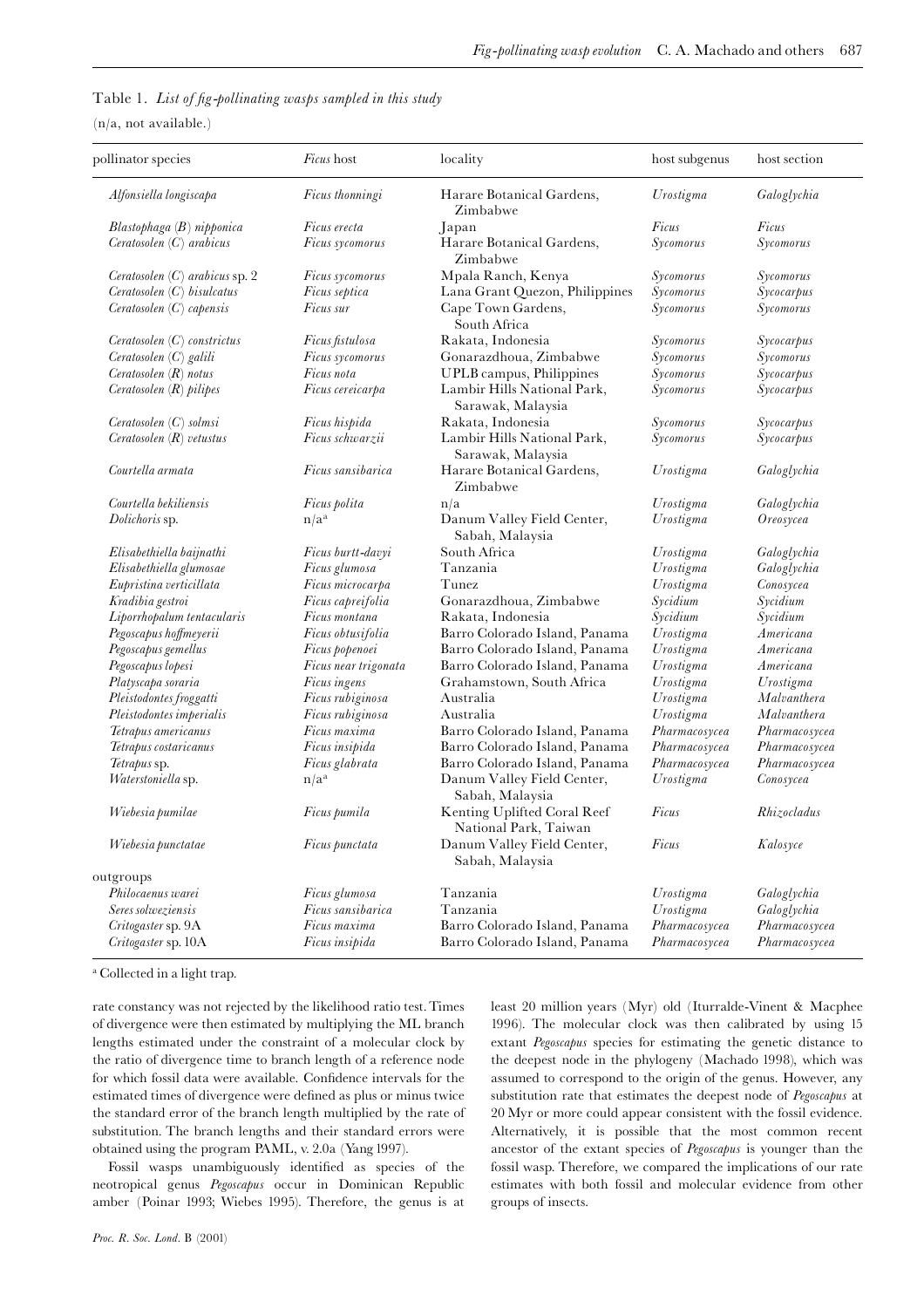|  | Table 1. List of fig-pollinating wasps sampled in this study |  |  |  |
|--|--------------------------------------------------------------|--|--|--|
|  |                                                              |  |  |  |

 $(n/a, not available.)$ 

| pollinator species                         | Ficus host            | locality                                             | host subgenus | host section  |
|--------------------------------------------|-----------------------|------------------------------------------------------|---------------|---------------|
| Alfonsiella longiscapa                     | Ficus thonningi       | Harare Botanical Gardens,<br>Zimbabwe                | Urostigma     | Galoglychia   |
| Blastophaga (B) nipponica                  | Ficus erecta          | Japan                                                | Ficus         | Ficus         |
| Ceratosolen $(C)$ arabicus                 | Ficus sycomorus       | Harare Botanical Gardens,<br>Zimbabwe                | Sycomorus     | Sycomorus     |
| Ceratosolen $(C)$ arabicus sp. 2           | Ficus sycomorus       | Mpala Ranch, Kenya                                   | Sycomorus     | Sycomorus     |
| Ceratosolen(C) bisulcatus                  | Ficus septica         | Lana Grant Quezon, Philippines                       | Sycomorus     | Sycocarpus    |
| Ceratosolen $(C)$ capensis                 | Ficus sur             | Cape Town Gardens,<br>South Africa                   | Sycomorus     | Sycomorus     |
| $Ceratosolen(C)$ constrictus               | Ficus fistulosa       | Rakata, Indonesia                                    | Sycomorus     | Sycocarpus    |
| Ceratosolen(C) galili                      | Ficus sycomorus       | Gonarazdhoua, Zimbabwe                               | Sycomorus     | Sycomorus     |
| Ceratosolen (R) not us                     | Ficus nota            | UPLB campus, Philippines                             | Sycomorus     | Sycocarpus    |
| Ceratosolen (R) pilipes                    | Ficus cereicarpa      | Lambir Hills National Park,<br>Sarawak, Malaysia     | Sycomorus     | Sycocarpus    |
| Ceratosolen(C) solmsi                      | Ficus hispida         | Rakata, Indonesia                                    | Sycomorus     | Sycocarpus    |
| <i>Ceratosolen</i> $(R)$ <i>vetustus</i>   | Ficus schwarzii       | Lambir Hills National Park,<br>Sarawak, Malaysia     | Sycomorus     | Sycocarpus    |
| Courtella armata                           | Ficus sansibarica     | Harare Botanical Gardens,<br>Zimbabwe                | Urostigma     | Galoglychia   |
| Courtella bekiliensis                      | <i>Ficus polita</i>   | n/a                                                  | Urostigma     | Galoglychia   |
| Dolichoris sp.                             | $n/a^a$               | Danum Valley Field Center,<br>Sabah, Malaysia        | Urostigma     | Oreosycea     |
| Elisabethiella baijnathi                   | Ficus burtt-davyi     | South Africa                                         | Urostigma     | Galoglychia   |
| Elisabethiella glumosae                    | Ficus glumosa         | Tanzania                                             | Urostigma     | Galoglychia   |
| Eupristina verticillata                    | Ficus microcarpa      | Tunez                                                | Urostigma     | Conosycea     |
| Kradibia gestroi                           | Ficus capreifolia     | Gonarazdhoua, Zimbabwe                               | Sycidium      | Sycidium      |
| Liporrhopalum tentacularis                 | Ficus montana         | Rakata, Indonesia                                    | Sycidium      | Sycidium      |
| Pegoscapus hoffmeyerii                     | Ficus obtusifolia     | Barro Colorado Island, Panama                        | Urostigma     | Americana     |
| Pegoscapus gemellus                        | Ficus popenoei        | Barro Colorado Island, Panama                        | Urostigma     | Americana     |
| Pegoscapus lopesi                          | Ficus near trigonata  | Barro Colorado Island, Panama                        | Urostigma     | Americana     |
| Platyscapa soraria                         | Ficus ingens          | Grahamstown, South Africa                            | Urostigma     | Urostigma     |
| Pleistodontes froggatti                    | Ficus rubiginosa      | Australia                                            | Urostigma     | Malvanthera   |
| $\label{prob:2} Pleistodontes\,imperialis$ | Ficus rubiginosa      | Australia                                            | Urostigma     | Malvanthera   |
| Tetrapus americanus                        | Ficus maxima          | Barro Colorado Island, Panama                        | Pharmacosycea | Pharmacosycea |
| Tetrapus costaricanus                      | Ficus insipida        | Barro Colorado Island, Panama                        | Pharmacosycea | Pharmacosycea |
| Tetrapus sp.                               | Ficus glabrata        | Barro Colorado Island, Panama                        | Pharmacosycea | Pharmacosycea |
| Waterstoniella sp.                         | $n/a^a$               | Danum Valley Field Center,<br>Sabah, Malaysia        | Urostigma     | Conosycea     |
| Wiebesia pumilae                           | Ficus pumila          | Kenting Uplifted Coral Reef<br>National Park, Taiwan | Ficus         | Rhizocladus   |
| Wiebesia punctatae                         | <i>Ficus punctata</i> | Danum Valley Field Center,<br>Sabah, Malaysia        | Ficus         | Kalosyce      |
| outgroups                                  |                       |                                                      |               |               |
| Philocaenus warei                          | Ficus glumosa         | Tanzania                                             | Urostigma     | Galoglychia   |
| Seres solweziensis                         | Ficus sansibarica     | Tanzania                                             | Urostigma     | Galoglychia   |
| Critogaster sp. 9A                         | Ficus maxima          | Barro Colorado Island, Panama                        | Pharmacosycea | Pharmacosycea |
| Critogaster sp. 10A                        | Ficus insipida        | Barro Colorado Island, Panama                        | Pharmacosycea | Pharmacosycea |

<sup>a</sup> Collected in a light trap.

rate constancy was not rejected by the likelihood ratio test. Times of divergence were then estimated by multiplying the ML branch lengths estimated under the constraint of a molecular clock by the ratio of divergence time to branch length of a reference node for which fossil data were available. Confidence intervals for the estimated times of divergence were defined as plus or minus twice the standard error of the branch length multiplied by the rate of substitution. The branch lengths and their standard errors were obtained using the program PAML, v. 2.0a (Yang 1997).

Fossil wasps unambiguously identified as species of the neotropical genus Pegoscapus occur in Dominican Republic amber (Poinar 1993; Wiebes 1995). Therefore, the genus is at

Proc. R. Soc. Lond. B (2001)

least 20 million years (Myr) old (Iturralde-Vinent & Macphee 1996). The molecular clock was then calibrated by using 15 extant Pegoscapus species for estimating the genetic distance to the deepest node in the phylogeny (Machado 1998), which was assumed to correspond to the origin of the genus. However, any substitution rate that estimates the deepest node of Pegoscapus at 20 Myr or more could appear consistent with the fossil evidence. Alternatively, it is possible that the most common recent ancestor of the extant species of Pegoscapus is younger than the fossil wasp. Therefore, we compared the implications of our rate estimates with both fossil and molecular evidence from other groups of insects.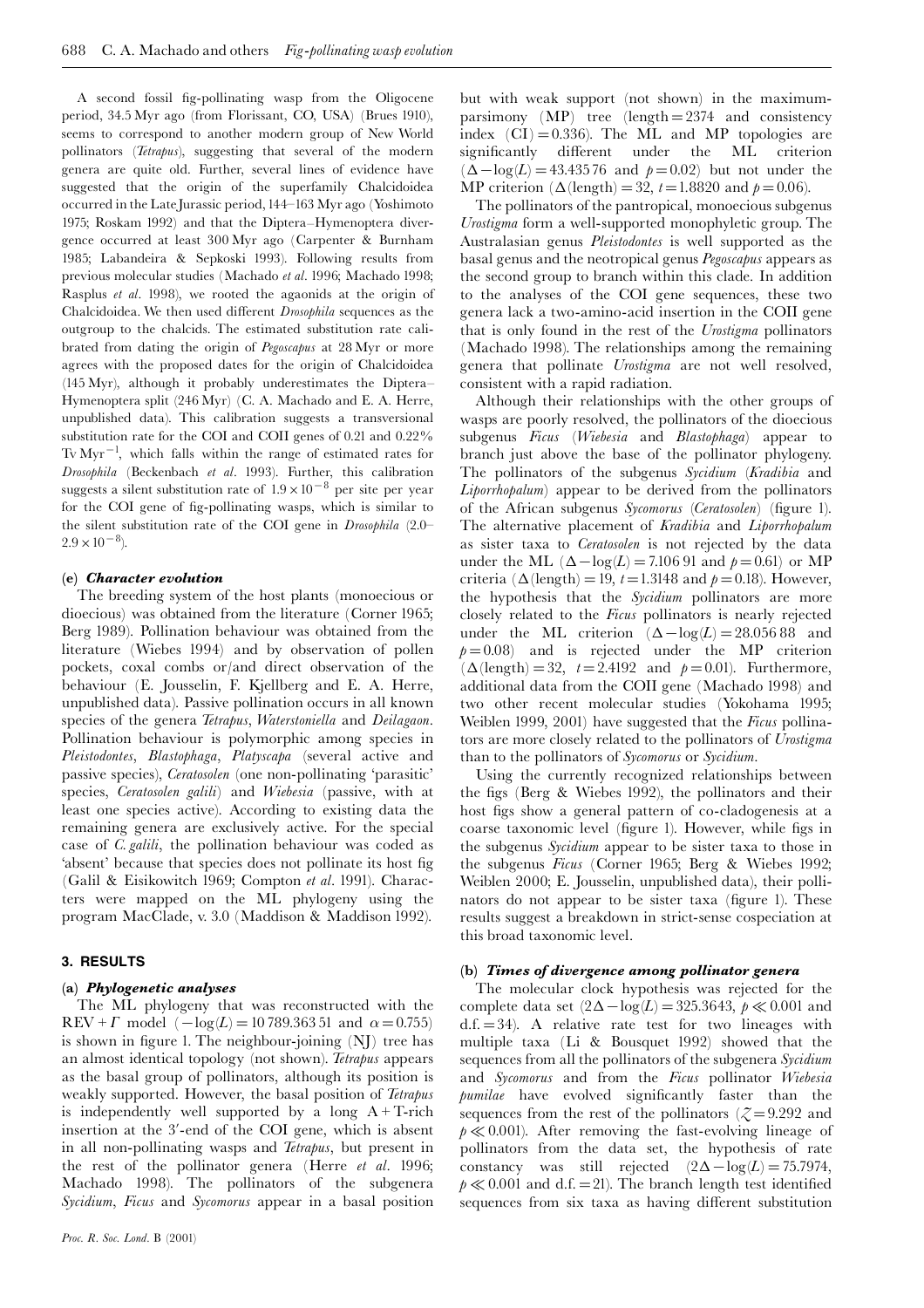A second fossil fig-pollinating wasp from the Oligocene period, 34.5 Myr ago (from Florissant, CO, USA) (Brues 1910), seems to correspond to another modern group of New World pollinators (Tetrapus), suggesting that several of the modern genera are quite old. Further, several lines of evidence have suggested that the origin of the superfamily Chalcidoidea occurred in the Late Jurassic period, 144–163 Myr ago (Yoshimoto 1975; Roskam 1992) and that the Diptera-Hymenoptera divergence occurred at least 300 Myr ago (Carpenter & Burnham 1985; Labandeira & Sepkoski 1993). Following results from previous molecular studies (Machado et al. 1996; Machado 1998; Rasplus et al. 1998), we rooted the agaonids at the origin of Chalcidoidea. We then used different Drosophila sequences as the outgroup to the chalcids. The estimated substitution rate calibrated from dating the origin of Pegoscapus at 28 Myr or more agrees with the proposed dates for the origin of Chalcidoidea (145 Myr), although it probably underestimates the Diptera-Hymenoptera split (246 Myr) (C. A. Machado and E. A. Herre, unpublished data). This calibration suggests a transversional substitution rate for the COI and COII genes of 0.21 and 0.22%  $Tv\,Myr^{-1}$ , which falls within the range of estimated rates for Drosophila (Beckenbach et al. 1993). Further, this calibration suggests a silent substitution rate of  $1.9 \times 10^{-8}$  per site per year for the COI gene of fig-pollinating wasps, which is similar to the silent substitution rate of the COI gene in *Drosophila* (2.0- $2.9 \times 10^{-8}$ ).

## (e) Character evolution

The breeding system of the host plants (monoecious or dioecious) was obtained from the literature (Corner 1965; Berg 1989). Pollination behaviour was obtained from the literature (Wiebes 1994) and by observation of pollen pockets, coxal combs or/and direct observation of the behaviour (E. Jousselin, F. Kjellberg and E. A. Herre, unpublished data). Passive pollination occurs in all known species of the genera Tetrapus, Waterstoniella and Deilagaon. Pollination behaviour is polymorphic among species in Pleistodontes, Blastophaga, Platyscapa (several active and passive species), *Ceratosolen* (one non-pollinating 'parasitic' species, Ceratosolen galili) and Wiebesia (passive, with at least one species active). According to existing data the remaining genera are exclusively active. For the special case of *C. galili*, the pollination behaviour was coded as 'absent' because that species does not pollinate its host fig. (Galil & Eisikowitch 1969; Compton et al. 1991). Characters were mapped on the ML phylogeny using the program MacClade, v. 3.0 (Maddison & Maddison 1992).

# 3. RESULTS

## (a) Phylogenetic analyses

The ML phylogeny that was reconstructed with the REV +  $\Gamma$  model  $(-\log(L) = 10789.36351$  and  $\alpha = 0.755)$ is shown in figure 1. The neighbour-joining (NJ) tree has an almost identical topology (not shown). Tetrapus appears as the basal group of pollinators, although its position is weakly supported. However, the basal position of Tetrapus is independently well supported by a long  $A + T$ -rich insertion at the 3'-end of the COI gene, which is absent in all non-pollinating wasps and Tetrapus, but present in the rest of the pollinator genera (Herre et al. 1996; Machado 1998). The pollinators of the subgenera Sycidium, Ficus and Sycomorus appear in a basal position

but with weak support (not shown) in the maximumparsimony (MP) tree (length =  $2374$  and consistency index  $(CI) = 0.336$ . The ML and MP topologies are significantly different under the ML criterion  $(\Delta - \log(L) = 43.43576$  and  $p = 0.02$  but not under the MP criterion ( $\Delta$ (length) = 32, t = 1.8820 and  $p = 0.06$ ).

The pollinators of the pantropical, monoecious subgenus Urostigma form a well-supported monophyletic group. The Australasian genus *Pleistodontes* is well supported as the basal genus and the neotropical genus Pegoscapus appears as the second group to branch within this clade. In addition to the analyses of the COI gene sequences, these two genera lack a two-amino-acid insertion in the COII gene that is only found in the rest of the Urostigma pollinators (Machado 1998). The relationships among the remaining genera that pollinate *Urostigma* are not well resolved, consistent with a rapid radiation.

Although their relationships with the other groups of wasps are poorly resolved, the pollinators of the dioecious subgenus Ficus (Wiebesia and Blastophaga) appear to branch just above the base of the pollinator phylogeny. The pollinators of the subgenus Sycidium (Kradibia and *Liporrhopalum*) appear to be derived from the pollinators of the African subgenus Sycomorus (Ceratosolen) (figure 1). The alternative placement of Kradibia and Liporrhopalum as sister taxa to *Ceratosolen* is not rejected by the data under the ML  $(\Delta - \log(L) = 7.10691$  and  $p = 0.61$  or MP criteria ( $\Delta$ (length) = 19, t = 1.3148 and  $p = 0.18$ ). However, the hypothesis that the Sycidium pollinators are more closely related to the Ficus pollinators is nearly rejected under the ML criterion  $(\Delta - \log(L) = 28.05688$  and  $p=0.08$  and is rejected under the MP criterion  $(\Delta(\text{length}) = 32, t = 2.4192 \text{ and } p = 0.01)$ . Furthermore, additional data from the COII gene (Machado 1998) and two other recent molecular studies (Yokohama 1995; Weiblen 1999, 2001) have suggested that the Ficus pollinators are more closely related to the pollinators of Urostigma than to the pollinators of Sycomorus or Sycidium.

Using the currently recognized relationships between the figs (Berg & Wiebes 1992), the pollinators and their host figs show a general pattern of co-cladogenesis at a coarse taxonomic level (figure 1). However, while figs in the subgenus Sycidium appear to be sister taxa to those in the subgenus Ficus (Corner 1965; Berg & Wiebes 1992; Weiblen 2000; E. Jousselin, unpublished data), their pollinators do not appear to be sister taxa (figure 1). These results suggest a breakdown in strict-sense cospeciation at this broad taxonomic level.

## (b) Times of divergence among pollinator genera

The molecular clock hypothesis was rejected for the complete data set  $(2\Delta - \log(L) = 325.3643, p \ll 0.001$  and  $d.f. = 34$ ). A relative rate test for two lineages with multiple taxa (Li & Bousquet 1992) showed that the sequences from all the pollinators of the subgenera Sycidium and Sycomorus and from the Ficus pollinator Wiebesia pumilae have evolved significantly faster than the sequences from the rest of the pollinators ( $\zeta = 9.292$  and  $p \ll 0.001$ ). After removing the fast-evolving lineage of pollinators from the data set, the hypothesis of rate constancy was still rejected  $(2\Delta - \log(L) = 75.7974,$  $p \ll 0.001$  and d.f. = 21). The branch length test identified sequences from six taxa as having different substitution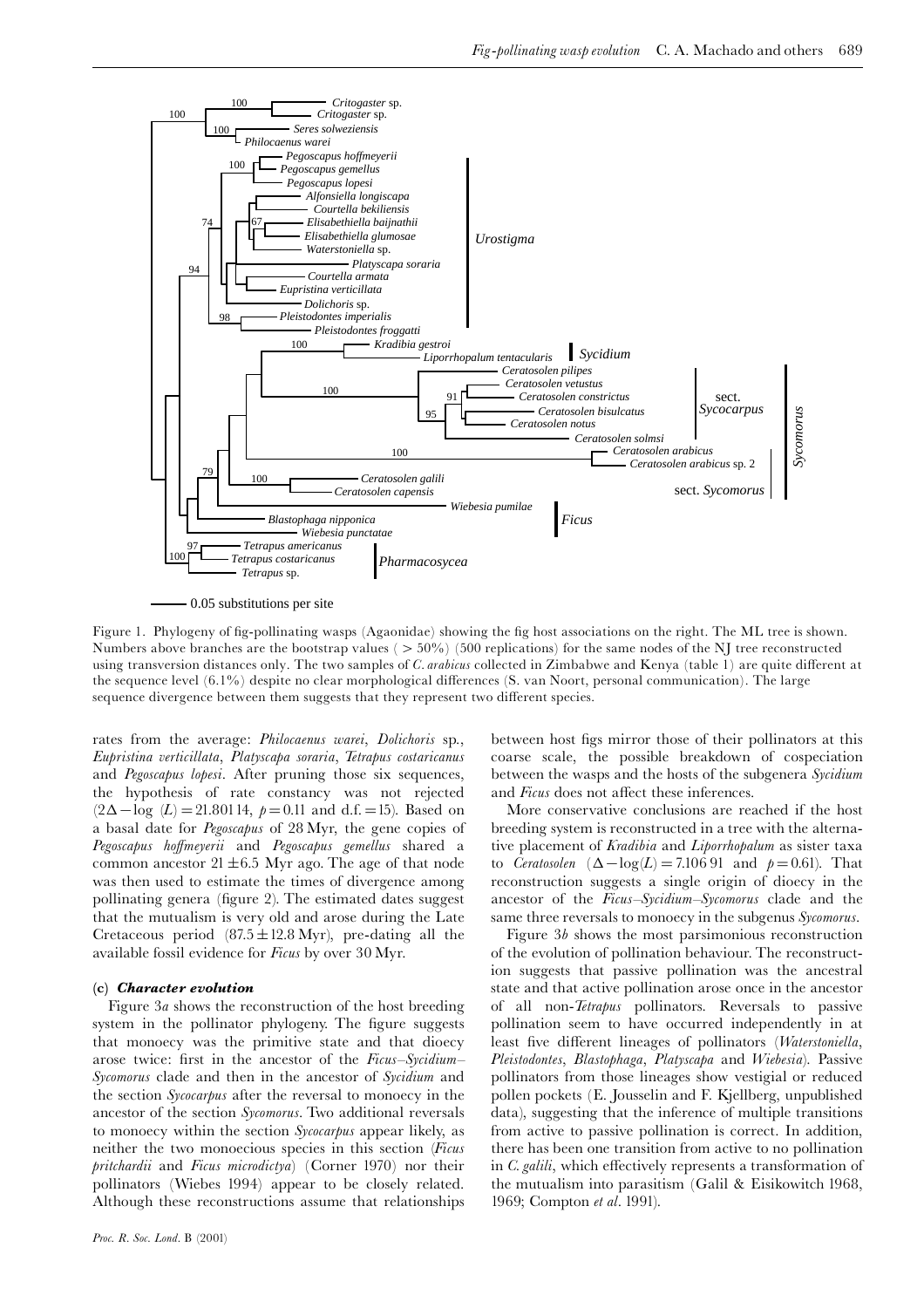

0.05 substitutions per site

Figure 1. Phylogeny of fig-pollinating wasps (Agaonidae) showing the fig host associations on the right. The ML tree is shown. Numbers above branches are the bootstrap values (  $>50\%$  ) (500 replications) for the same nodes of the NJ tree reconstructed using transversion distances only. The two samples of *C. arabicus* collected in Zimbabwe and Kenya (table 1) are quite different at the sequence level  $(6.1\%)$  despite no clear morphological differences  $(S.$  van Noort, personal communication). The large sequence divergence between them suggests that they represent two different species.

rates from the average: Philocaenus warei, Dolichoris sp., Eupristina verticillata, Platyscapa soraria, Tetrapus costaricanus and Pegoscapus lopesi. After pruning those six sequences, the hypothesis of rate constancy was not rejected  $(2\Delta - \log(L)) = 21.80114, p = 0.11$  and d.f. = 15). Based on a basal date for *Pegoscapus* of 28 Myr, the gene copies of Pegoscapus hoffmeyerii and Pegoscapus gemellus shared a common ancestor  $21 \pm 6.5$  Myr ago. The age of that node was then used to estimate the times of divergence among pollinating genera (figure 2). The estimated dates suggest that the mutualism is very old and arose during the Late Cretaceous period  $(87.5 \pm 12.8 \text{ Myr})$ , pre-dating all the available fossil evidence for Ficus by over 30 Myr.

## (c) Character evolution

Figure 3a shows the reconstruction of the host breeding system in the pollinator phylogeny. The figure suggests that monoecy was the primitive state and that dioecy arose twice: first in the ancestor of the Ficus–Sycidium– Sycomorus clade and then in the ancestor of Sycidium and the section Sycocarpus after the reversal to monoecy in the ancestor of the section Sycomorus. Two additional reversals to monoecy within the section Sycocarpus appear likely, as neither the two monoecious species in this section (Ficus pritchardii and Ficus microdictya) (Corner 1970) nor their pollinators (Wiebes 1994) appear to be closely related. Although these reconstructions assume that relationships between host figs mirror those of their pollinators at this coarse scale, the possible breakdown of cospeciation between the wasps and the hosts of the subgenera Sycidium and Ficus does not affect these inferences.

More conservative conclusions are reached if the host breeding system is reconstructed in a tree with the alternative placement of Kradibia and Liporrhopalum as sister taxa to *Ceratosolen*  $(\Delta - \log(L) = 7.10691$  and  $p = 0.61$ . That reconstruction suggests a single origin of dioecy in the ancestor of the *Ficus–Sycidium–Sycomorus* clade and the same three reversals to monoecy in the subgenus Sycomorus.

Figure  $3b$  shows the most parsimonious reconstruction of the evolution of pollination behaviour. The reconstruction suggests that passive pollination was the ancestral state and that active pollination arose once in the ancestor of all non-*Tetrapus* pollinators. Reversals to passive pollination seem to have occurred independently in at least five different lineages of pollinators (Waterstoniella, Pleistodontes, Blastophaga, Platyscapa and Wiebesia). Passive pollinators from those lineages show vestigial or reduced pollen pockets (E. Jousselin and F. Kjellberg, unpublished data), suggesting that the inference of multiple transitions from active to passive pollination is correct. In addition, there has been one transition from active to no pollination in C. galili, which effectively represents a transformation of the mutualism into parasitism (Galil & Eisikowitch 1968, 1969; Compton et al. 1991).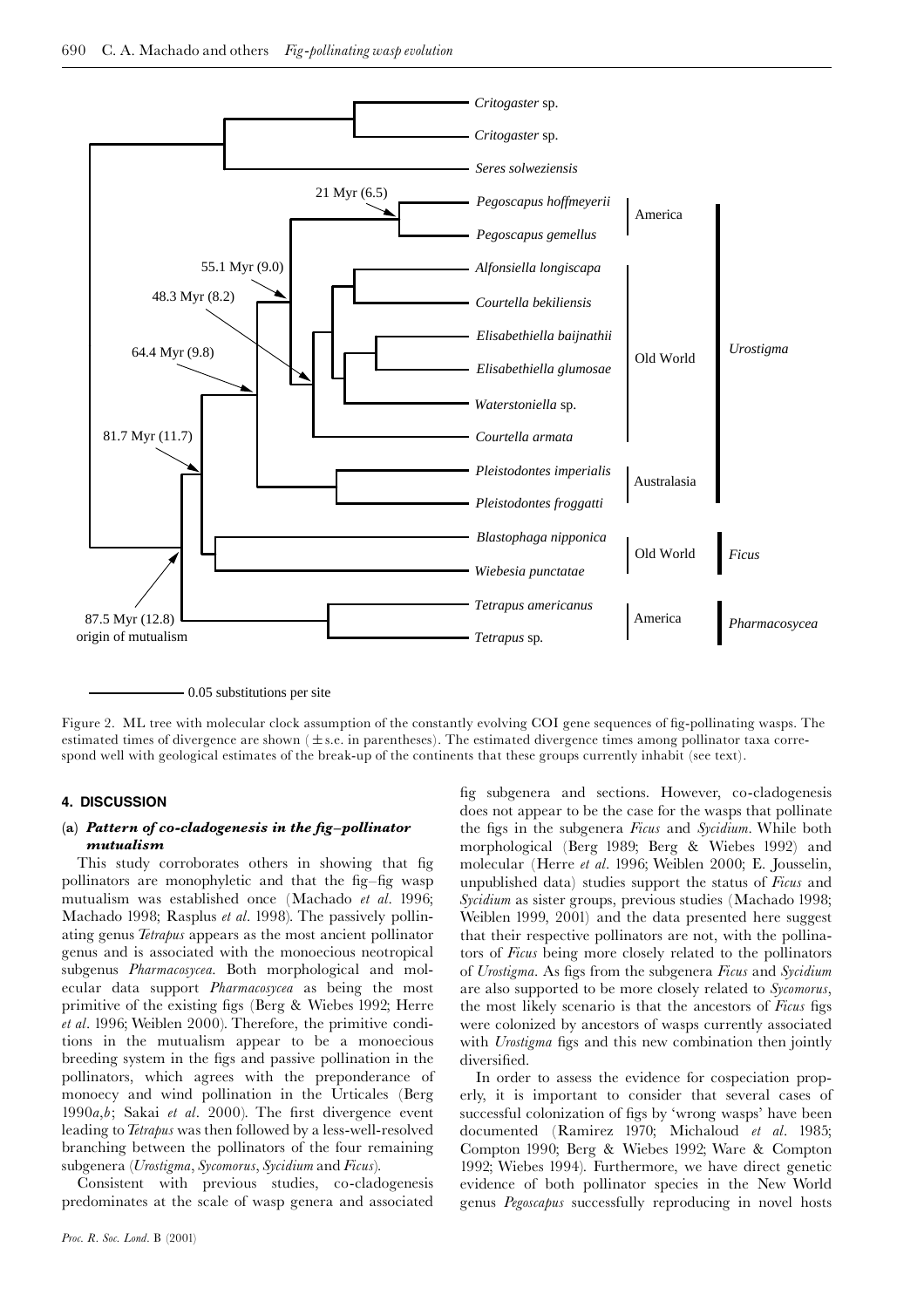

0.05 substitutions per site

Figure 2. ML tree with molecular clock assumption of the constantly evolving COI gene sequences of fig-pollinating wasps. The estimated times of divergence are shown ( $\pm$  s.e. in parentheses). The estimated divergence times among pollinator taxa correspond well with geological estimates of the break-up of the continents that these groups currently inhabit (see text).

## 4. DISCUSSION

## $\left( \textbf{a} \right)$  Pattern of co-cladogenesis in the fig-pollinator mutualism

This study corroborates others in showing that fig pollinators are monophyletic and that the fig-fig wasp mutualism was established once (Machado et al. 1996; Machado 1998; Rasplus et al. 1998). The passively pollinating genus Tetrapus appears as the most ancient pollinator genus and is associated with the monoecious neotropical subgenus Pharmacosycea. Both morphological and molecular data support Pharmacosycea as being the most primitive of the existing figs (Berg & Wiebes 1992; Herre et al. 1996; Weiblen 2000). Therefore, the primitive conditions in the mutualism appear to be a monoecious breeding system in the figs and passive pollination in the pollinators, which agrees with the preponderance of monoecy and wind pollination in the Urticales (Berg 1990 $a,b$ ; Sakai et al. 2000). The first divergence event leading to Tetrapus was then followed by a less-well-resolved branching between the pollinators of the four remaining subgenera (Urostigma, Sycomorus, Sycidium and Ficus).

Consistent with previous studies, co-cladogenesis predominates at the scale of wasp genera and associated

fig subgenera and sections. However, co-cladogenesis does not appear to be the case for the wasps that pollinate the figs in the subgenera Ficus and Sycidium. While both morphological (Berg 1989; Berg & Wiebes 1992) and molecular (Herre et al. 1996; Weiblen 2000; E. Jousselin, unpublished data) studies support the status of Ficus and Sycidium as sister groups, previous studies (Machado 1998; Weiblen 1999, 2001) and the data presented here suggest that their respective pollinators are not, with the pollinators of Ficus being more closely related to the pollinators of Urostigma. As figs from the subgenera Ficus and Sycidium are also supported to be more closely related to Sycomorus, the most likely scenario is that the ancestors of Ficus figs were colonized by ancestors of wasps currently associated with Unostigma figs and this new combination then jointly diversified.

In order to assess the evidence for cospeciation properly, it is important to consider that several cases of successful colonization of figs by 'wrong wasps' have been documented (Ramirez 1970; Michaloud *et al*. 1985; Compton 1990; Berg & Wiebes 1992; Ware & Compton 1992; Wiebes 1994). Furthermore, we have direct genetic evidence of both pollinator species in the New World genus Pegoscapus successfully reproducing in novel hosts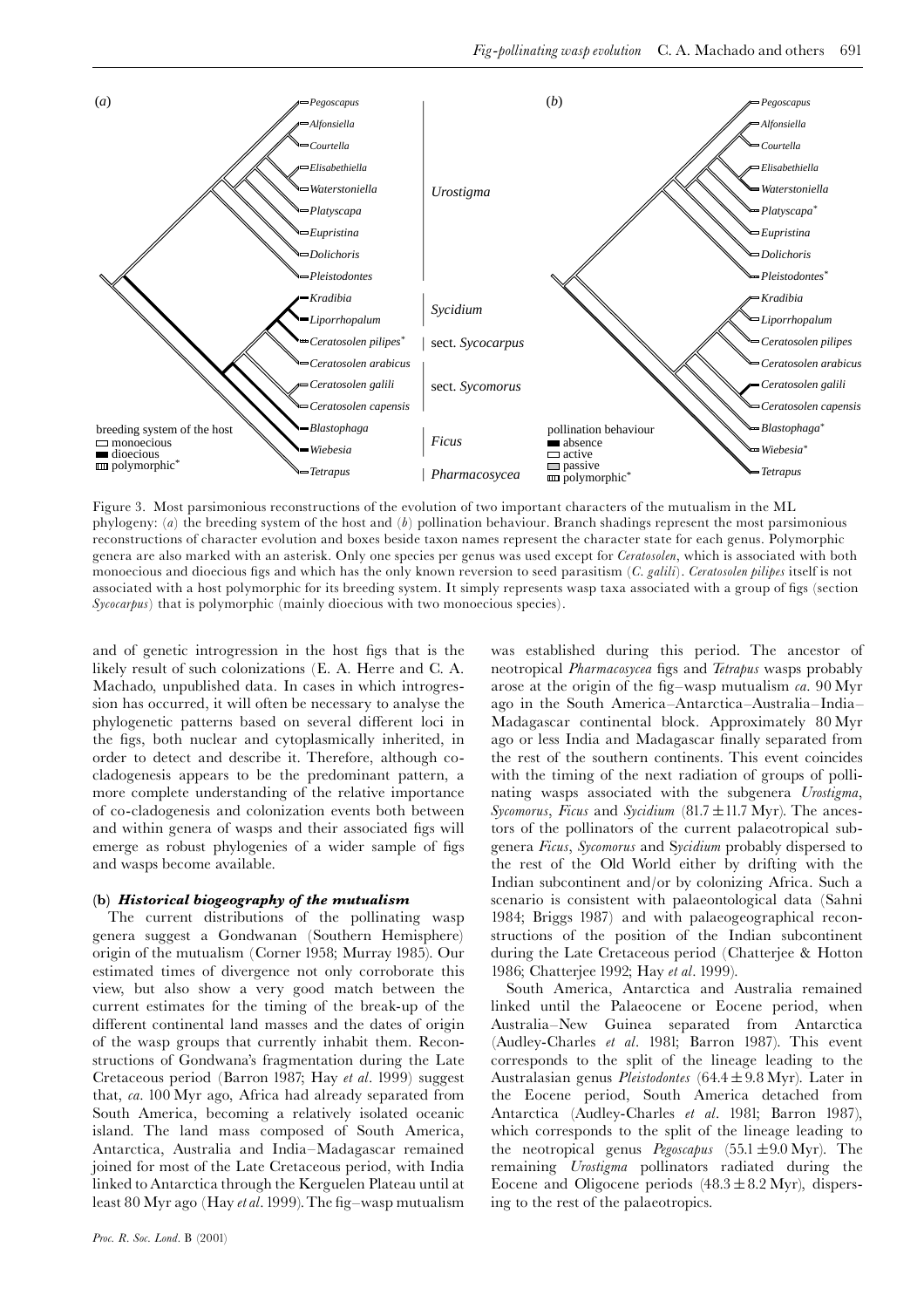

Figure 3. Most parsimonious reconstructions of the evolution of two important characters of the mutualism in the ML phylogeny:  $(a)$  the breeding system of the host and  $(b)$  pollination behaviour. Branch shadings represent the most parsimonious reconstructions of character evolution and boxes beside taxon names represent the character state for each genus. Polymorphic genera are also marked with an asterisk. Only one species per genus was used except for *Ceratosolen*, which is associated with both monoecious and dioecious figs and which has the only known reversion to seed parasitism (C. galili). Ceratosolen pilipes itself is not associated with a host polymorphic for its breeding system. It simply represents wasp taxa associated with a group of figs (section  $Sycocarpus$ ) that is polymorphic (mainly dioecious with two monoecious species).

and of genetic introgression in the host figs that is the likely result of such colonizations (E. A. Herre and C. A. Machado, unpublished data. In cases in which introgression has occurred, it will often be necessary to analyse the phylogenetic patterns based on several different loci in the figs, both nuclear and cytoplasmically inherited, in order to detect and describe it. Therefore, although cocladogenesis appears to be the predominant pattern, a more complete understanding of the relative importance of co-cladogenesis and colonization events both between and within genera of wasps and their associated figs will emerge as robust phylogenies of a wider sample of figs and wasps become available.

## (b) Historical biogeography of the mutualism

The current distributions of the pollinating wasp genera suggest a Gondwanan (Southern Hemisphere) origin of the mutualism (Corner 1958; Murray 1985). Our estimated times of divergence not only corroborate this view, but also show a very good match between the current estimates for the timing of the break-up of the different continental land masses and the dates of origin of the wasp groups that currently inhabit them. Reconstructions of Gondwana's fragmentation during the Late Cretaceous period (Barron 1987; Hay et al. 1999) suggest that, ca. 100 Myr ago, Africa had already separated from South America, becoming a relatively isolated oceanic island. The land mass composed of South America, Antarctica, Australia and India-Madagascar remained joined for most of the Late Cretaceous period, with India linked to Antarctica through the Kerguelen Plateau until at least 80 Myr ago (Hay *et al.* 1999). The fig–wasp mutualism was established during this period. The ancestor of neotropical Pharmacosycea figs and Tetrapus wasps probably arose at the origin of the fig–wasp mutualism  $ca$ .  $90\,\mathrm{Myr}$ ago in the South America–Antarctica–Australia–India– Madagascar continental block. Approximately 80 Myr ago or less India and Madagascar finally separated from the rest of the southern continents. This event coincides with the timing of the next radiation of groups of pollinating wasps associated with the subgenera Urostigma, Sycomorus, Ficus and Sycidium  $(81.7 \pm 11.7 \text{ Myr})$ . The ancestors of the pollinators of the current palaeotropical subgenera Ficus, Sycomorus and Sycidium probably dispersed to the rest of the Old World either by drifting with the Indian subcontinent and/or by colonizing Africa. Such a scenario is consistent with palaeontological data (Sahni 1984; Briggs 1987) and with palaeogeographical reconstructions of the position of the Indian subcontinent during the Late Cretaceous period (Chatterjee & Hotton 1986; Chatterjee 1992; Hay et al. 1999).

South America, Antarctica and Australia remained linked until the Palaeocene or Eocene period, when Australia–New Guinea separated from Antarctica (Audley-Charles et al. 1981; Barron 1987). This event corresponds to the split of the lineage leading to the Australasian genus Pleistodontes (64.4  $\pm$  9.8 Myr). Later in the Eocene period, South America detached from Antarctica (Audley-Charles et al. 1981; Barron 1987), which corresponds to the split of the lineage leading to the neotropical genus  $Pegoscapus$  (55.1  $\pm$ 9.0 Myr). The remaining *Urostigma* pollinators radiated during the Eocene and Oligocene periods  $(48.3 \pm 8.2 \text{ Myr})$ , dispersing to the rest of the palaeotropics.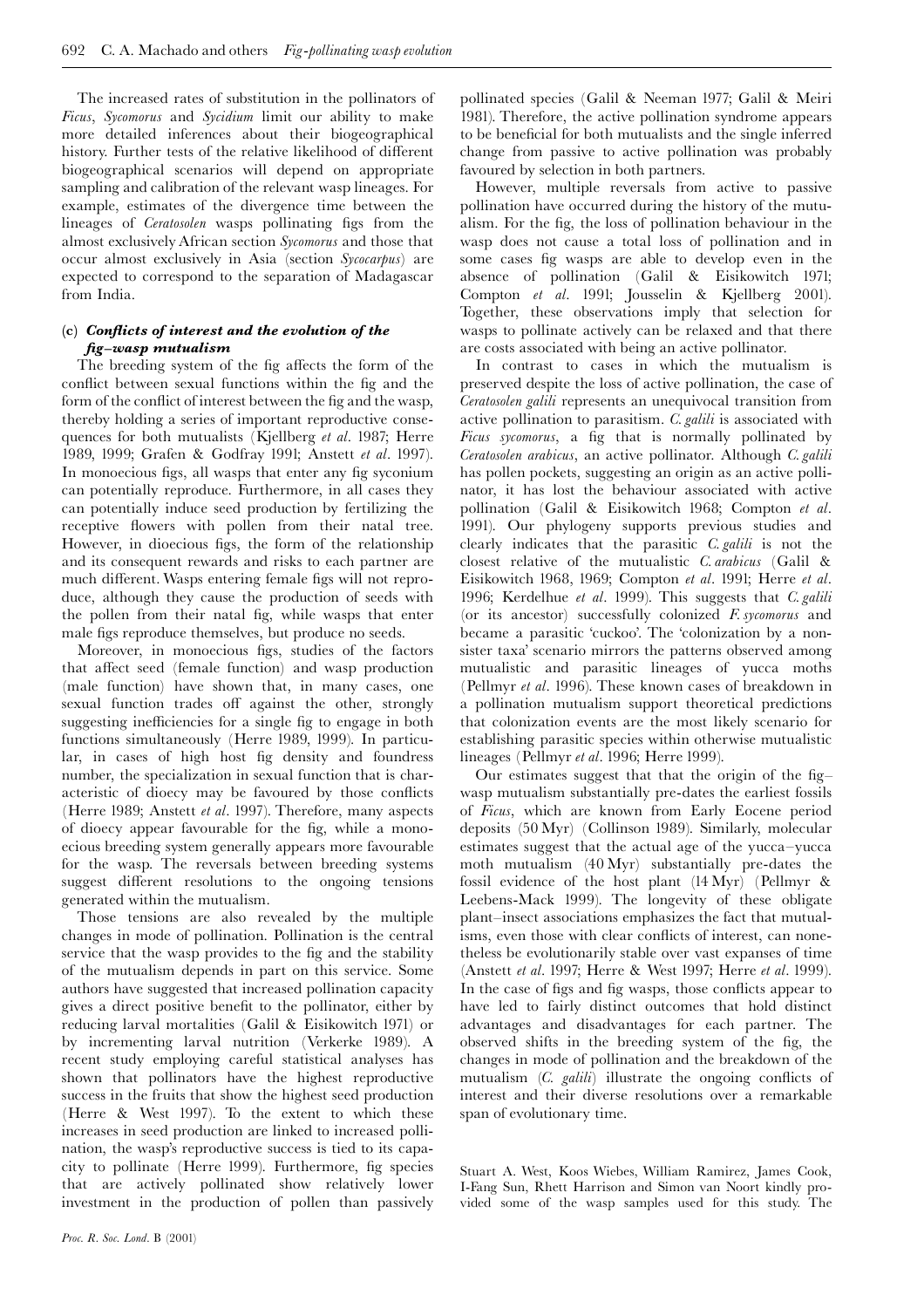The increased rates of substitution in the pollinators of Ficus, Sycomorus and Sycidium limit our ability to make more detailed inferences about their biogeographical history. Further tests of the relative likelihood of different biogeographical scenarios will depend on appropriate sampling and calibration of the relevant wasp lineages. For example, estimates of the divergence time between the lineages of *Ceratosolen* wasps pollinating figs from the almost exclusively African section Sycomorus and those that occur almost exclusively in Asia (section Sycocarpus) are expected to correspond to the separation of Madagascar from India.

# (c) Conflicts of interest and the evolution of the  $fig$ -wasp mutualism

The breeding system of the fig affects the form of the conflict between sexual functions within the fig and the form of the conflict of interest between the fig and the wasp, thereby holding a series of important reproductive consequences for both mutualists (Kjellberg et al. 1987; Herre 1989, 1999; Grafen & Godfray 1991; Anstett et al. 1997). In monoecious figs, all wasps that enter any fig syconium can potentially reproduce. Furthermore, in all cases they can potentially induce seed production by fertilizing the receptive flowers with pollen from their natal tree. However, in dioecious figs, the form of the relationship and its consequent rewards and risks to each partner are much different. Wasps entering female figs will not reproduce, although they cause the production of seeds with the pollen from their natal fig, while wasps that enter male figs reproduce themselves, but produce no seeds.

Moreover, in monoecious figs, studies of the factors that affect seed (female function) and wasp production (male function) have shown that, in many cases, one sexual function trades off against the other, strongly suggesting inefficiencies for a single fig to engage in both functions simultaneously (Herre 1989, 1999). In particular, in cases of high host fig density and foundress number, the specialization in sexual function that is characteristic of dioecy may be favoured by those conflicts (Herre 1989; Anstett et al. 1997). Therefore, many aspects of dioecy appear favourable for the fig, while a monoecious breeding system generally appears more favourable for the wasp. The reversals between breeding systems suggest different resolutions to the ongoing tensions generated within the mutualism.

Those tensions are also revealed by the multiple changes in mode of pollination. Pollination is the central service that the wasp provides to the fig and the stability of the mutualism depends in part on this service. Some authors have suggested that increased pollination capacity gives a direct positive benefit to the pollinator, either by reducing larval mortalities (Galil & Eisikowitch 1971) or by incrementing larval nutrition (Verkerke 1989). A recent study employing careful statistical analyses has shown that pollinators have the highest reproductive success in the fruits that show the highest seed production (Herre & West 1997). To the extent to which these increases in seed production are linked to increased pollination, the wasp's reproductive success is tied to its capacity to pollinate (Herre 1999). Furthermore, fig species that are actively pollinated show relatively lower investment in the production of pollen than passively

pollinated species (Galil & Neeman 1977; Galil & Meiri 1981). Therefore, the active pollination syndrome appears to be beneficial for both mutualists and the single inferred change from passive to active pollination was probably favoured by selection in both partners.

However, multiple reversals from active to passive pollination have occurred during the history of the mutualism. For the fig, the loss of pollination behaviour in the wasp does not cause a total loss of pollination and in some cases fig wasps are able to develop even in the absence of pollination (Galil & Eisikowitch 1971; Compton et al. 1991; Jousselin & Kjellberg 2001). Together, these observations imply that selection for wasps to pollinate actively can be relaxed and that there are costs associated with being an active pollinator.

In contrast to cases in which the mutualism is preserved despite the loss of active pollination, the case of Ceratosolen galili represents an unequivocal transition from active pollination to parasitism. C. galili is associated with Ficus sycomorus, a fig that is normally pollinated by Ceratosolen arabicus, an active pollinator. Although C. galili has pollen pockets, suggesting an origin as an active pollinator, it has lost the behaviour associated with active pollination (Galil & Eisikowitch 1968; Compton et al. 1991). Our phylogeny supports previous studies and clearly indicates that the parasitic  $C$  *galili* is not the closest relative of the mutualistic C. arabicus (Galil & Eisikowitch 1968, 1969; Compton et al. 1991; Herre et al. 1996; Kerdelhue et al. 1999). This suggests that C. galili (or its ancestor) successfully colonized F. sycomorus and became a parasitic 'cuckoo'. The 'colonization by a nonsister taxa' scenario mirrors the patterns observed among mutualistic and parasitic lineages of yucca moths (Pellmyr et al. 1996). These known cases of breakdown in a pollination mutualism support theoretical predictions that colonization events are the most likely scenario for establishing parasitic species within otherwise mutualistic lineages (Pellmyr et al. 1996; Herre 1999).

Our estimates suggest that that the origin of the figwasp mutualism substantially pre-dates the earliest fossils of Ficus, which are known from Early Eocene period deposits (50 Myr) (Collinson 1989). Similarly, molecular estimates suggest that the actual age of the yucca-yucca moth mutualism (40 Myr) substantially pre-dates the fossil evidence of the host plant (14 Myr) (Pellmyr & Leebens-Mack 1999). The longevity of these obligate plant-insect associations emphasizes the fact that mutualisms, even those with clear conflicts of interest, can nonethe evolutionarily stable over vast expanses of time (Anstett et al. 1997; Herre & West 1997; Herre et al. 1999). In the case of figs and fig wasps, those conflicts appear to have led to fairly distinct outcomes that hold distinct advantages and disadvantages for each partner. The observed shifts in the breeding system of the fig, the changes in mode of pollination and the breakdown of the mutualism (C. galili) illustrate the ongoing conflicts of interest and their diverse resolutions over a remarkable span of evolutionary time.

Stuart A. West, Koos Wiebes, William Ramirez, James Cook, I-Fang Sun, Rhett Harrison and Simon van Noort kindly provided some of the wasp samples used for this study. The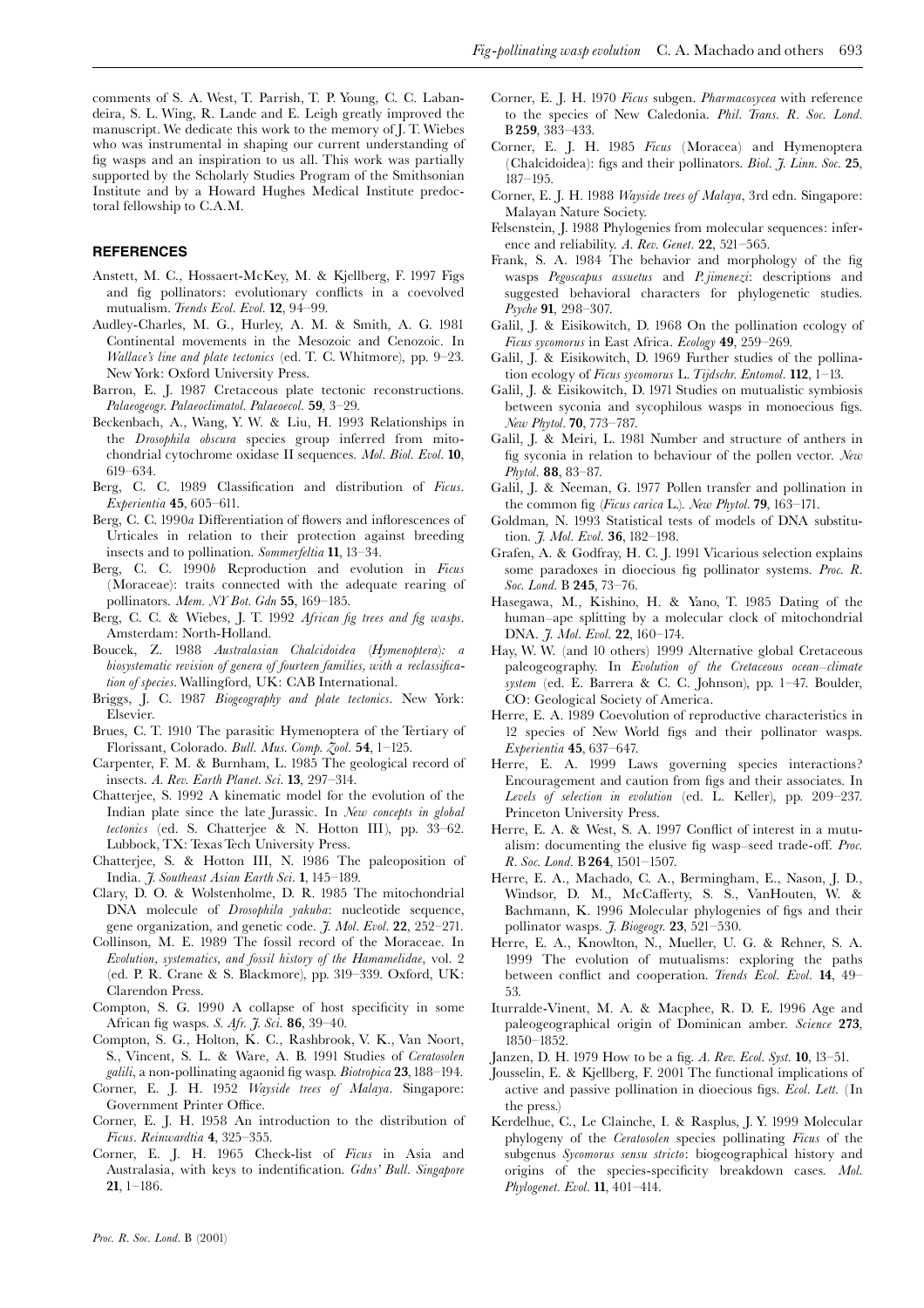comments of S. A. West, T. Parrish, T. P. Young, C. C. Labandeira, S. L. Wing, R. Lande and E. Leigh greatly improved the manuscript. We dedicate this work to the memory of J. T. Wiebes who was instrumental in shaping our current understanding of fig wasps and an inspiration to us all. This work was partially supported by the Scholarly Studies Program of the Smithsonian Institute and by a Howard Hughes Medical Institute predoctoral fellowship to C.A.M.

## **REFERENCES**

- Anstett, M. C., Hossaert-McKey, M. & Kjellberg, F. 1997 Figs and fig pollinators: evolutionary conflicts in a coevolved mutualism. Trends Ecol. Evol. 12, 94-99.
- Audley-Charles, M. G., Hurley, A. M. & Smith, A. G. 1981 Continental movements in the Mesozoic and Cenozoic. In Wallace's line and plate tectonics (ed. T. C. Whitmore), pp. 9-23. New York: Oxford University Press.
- Barron, E. J. 1987 Cretaceous plate tectonic reconstructions. Palaeogeogr, Palaeoclimatol, Palaeoecol, 59, 3-29.
- Beckenbach, A., Wang, Y. W. & Liu, H. 1993 Relationships in the *Drosophila obscura* species group inferred from mitochondrial cytochrome oxidase II sequences. Mol. Biol. Evol. 10, 619-634.
- Berg, C. C. 1989 Classification and distribution of Ficus. Experientia 45, 605-611.
- Berg, C. C. 1990a Differentiation of flowers and inflorescences of Urticales in relation to their protection against breeding insects and to pollination. Sommerfeltia 11, 13-34.
- Berg, C. C. 1990b Reproduction and evolution in Ficus (Moraceae): traits connected with the adequate rearing of pollinators. Mem. NY Bot. Gdn 55, 169-185.
- Berg, C. C. & Wiebes, J. T. 1992 African fig trees and fig wasps. Amsterdam: North-Holland.
- Boucek, Z. 1988 Australasian Chalcidoidea (Hymenoptera): a biosystematic revision of genera of fourteen families, with a reclassification of species. Wallingford, UK: CAB International.
- Briggs, J. C. 1987 Biogeography and plate tectonics. New York: Elsevier.
- Brues, C. T. 1910 The parasitic Hymenoptera of the Tertiary of Florissant, Colorado. Bull. Mus. Comp. Zool. 54, 1-125.
- Carpenter, F. M. & Burnham, L. 1985 The geological record of insects. A. Rev. Earth Planet. Sci. 13, 297-314.
- Chatterjee, S. 1992 A kinematic model for the evolution of the Indian plate since the late Jurassic. In New concepts in global tectonics (ed. S. Chatterjee & N. Hotton III), pp. 33-62. Lubbock, TX: Texas Tech University Press.
- Chatterjee, S. & Hotton III, N. 1986 The paleoposition of India. 7. Southeast Asian Earth Sci. 1, 145-189.
- Clary, D. O. & Wolstenholme, D. R. 1985 The mitochondrial DNA molecule of *Drosophila yakuba*: nucleotide sequence, gene organization, and genetic code. J. Mol. Evol. 22, 252-271.
- Collinson, M. E. 1989 The fossil record of the Moraceae. In Evolution, systematics, and fossil history of the Hamamelidae, vol. 2 (ed. P. R. Crane & S. Blackmore), pp. 319-339. Oxford, UK: Clarendon Press.
- Compton, S. G. 1990 A collapse of host specificity in some African fig wasps. S. Afr. J. Sci. 86, 39–40.
- Compton, S. G., Holton, K. C., Rashbrook, V. K., Van Noort, S., Vincent, S. L. & Ware, A. B. 1991 Studies of Ceratosolen galili, a non-pollinating agaonid fig wasp. Biotropica 23, 188-194.
- Corner, E. J. H. 1952 Wayside trees of Malaya. Singapore: Government Printer Office.
- Corner, E. J. H. 1958 An introduction to the distribution of Ficus. Reinwardtia 4, 325-355.
- Corner, E. J. H. 1965 Check-list of Ficus in Asia and Australasia, with keys to indentification. Gdns' Bull. Singapore  $21, 1-186.$
- Corner, E. J. H. 1970 Ficus subgen. Pharmacosycea with reference to the species of New Caledonia. Phil. Trans. R. Soc. Lond. B 259, 383-433.
- Corner, E. J. H. 1985 Ficus (Moracea) and Hymenoptera (Chalcidoidea): figs and their pollinators. Biol. J. Linn. Soc. 25,  $187 - 195$ .
- Corner, E. J. H. 1988 Wayside trees of Malaya, 3rd edn. Singapore: Malayan Nature Society.
- Felsenstein, J. 1988 Phylogenies from molecular sequences: inference and reliability. A. Rev. Genet. 22, 521-565.
- Frank, S. A. 1984 The behavior and morphology of the fig wasps Pegoscapus assuetus and P.jimenezi: descriptions and suggested behavioral characters for phylogenetic studies. Psyche 91, 298-307.
- Galil, J. & Eisikowitch, D. 1968 On the pollination ecology of Ficus sycomorus in East Africa. Ecology 49, 259-269.
- Galil, J. & Eisikowitch, D. 1969 Further studies of the pollination ecology of Ficus sycomorus L. Tijdschr. Entomol. 112, 1-13.
- Galil, J. & Eisikowitch, D. 1971 Studies on mutualistic symbiosis between syconia and sycophilous wasps in monoecious figs. New Phytol. 70, 773-787.
- Galil, J. & Meiri, L. 1981 Number and structure of anthers in fig syconia in relation to behaviour of the pollen vector. New Phytol. 88, 83-87.
- Galil, J. & Neeman, G. 1977 Pollen transfer and pollination in the common fig (Ficus carica L.). New Phytol. 79, 163-171.
- Goldman, N. 1993 Statistical tests of models of DNA substitution. *7. Mol. Evol.* **36**, 182-198.
- Grafen, A. & Godfray, H. C. J. 1991 Vicarious selection explains some paradoxes in dioecious fig pollinator systems. Proc. R. Soc. Lond. B 245, 73-76.
- Hasegawa, M., Kishino, H. & Yano, T. 1985 Dating of the human-ape splitting by a molecular clock of mitochondrial DNA. J. Mol. Evol. 22, 160-174.
- Hay, W. W. (and 10 others) 1999 Alternative global Cretaceous paleogeography. In Evolution of the Cretaceous ocean-climate system (ed. E. Barrera & C. C. Johnson), pp. 1-47. Boulder, CO: Geological Society of America.
- Herre, E. A. 1989 Coevolution of reproductive characteristics in 12 species of New World figs and their pollinator wasps. Experientia 45, 637-647.
- Herre, E. A. 1999 Laws governing species interactions? Encouragement and caution from figs and their associates. In Levels of selection in evolution (ed. L. Keller), pp. 209-237. Princeton University Press.
- Herre, E. A. & West, S. A. 1997 Conflict of interest in a mutualism: documenting the elusive fig wasp-seed trade-off. Proc. R. Soc. Lond. B 264, 1501-1507.
- Herre, E. A., Machado, C. A., Bermingham, E., Nason, J. D., Windsor, D. M., McCafferty, S. S., VanHouten, W. & Bachmann, K. 1996 Molecular phylogenies of figs and their pollinator wasps. *J. Biogeogr.* 23, 521-530.
- Herre, E. A., Knowlton, N., Mueller, U. G. & Rehner, S. A. 1999 The evolution of mutualisms: exploring the paths between conflict and cooperation. Trends Ecol. Evol. 14, 49-53.
- Iturralde-Vinent, M. A. & Macphee, R. D. E. 1996 Age and paleogeographical origin of Dominican amber. Science 273,  $1850 - 1852.$
- Janzen, D. H. 1979 How to be a fig. A. Rev. Ecol. Syst. 10, 13-51.
- Jousselin, E. & Kjellberg, F. 2001 The functional implications of active and passive pollination in dioecious figs. Ecol. Lett. (In the press.
- Kerdelhue, C., Le Clainche, I. & Rasplus, J. Y. 1999 Molecular phylogeny of the Ceratosolen species pollinating Ficus of the subgenus Sycomorus sensu stricto: biogeographical history and origins of the species-specificity breakdown cases. Mol. Phylogenet. Evol. 11, 401-414.